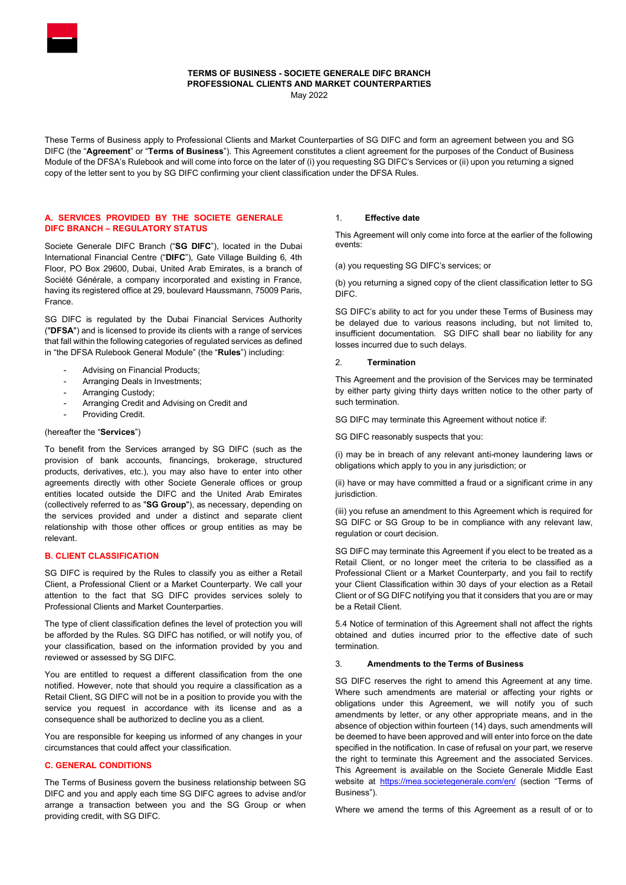

# TERMS OF BUSINESS - SOCIETE GENERALE DIFC BRANCH PROFESSIONAL CLIENTS AND MARKET COUNTERPARTIES

May 2022

These Terms of Business apply to Professional Clients and Market Counterparties of SG DIFC and form an agreement between you and SG DIFC (the "Agreement" or "Terms of Business"). This Agreement constitutes a client agreement for the purposes of the Conduct of Business Module of the DFSA's Rulebook and will come into force on the later of (i) you requesting SG DIFC's Services or (ii) upon you returning a signed copy of the letter sent to you by SG DIFC confirming your client classification under the DFSA Rules.

## A. SERVICES PROVIDED BY THE SOCIETE GENERALE DIFC BRANCH – REGULATORY STATUS

Societe Generale DIFC Branch ("SG DIFC"), located in the Dubai International Financial Centre ("DIFC"), Gate Village Building 6, 4th Floor, PO Box 29600, Dubai, United Arab Emirates, is a branch of Société Générale, a company incorporated and existing in France, having its registered office at 29, boulevard Haussmann, 75009 Paris, France.

SG DIFC is regulated by the Dubai Financial Services Authority ("DFSA") and is licensed to provide its clients with a range of services that fall within the following categories of regulated services as defined in "the DFSA Rulebook General Module" (the "Rules") including:

- Advising on Financial Products;
- Arranging Deals in Investments;
- Arranging Custody;
- Arranging Credit and Advising on Credit and
- Providing Credit.

# (hereafter the "Services")

To benefit from the Services arranged by SG DIFC (such as the provision of bank accounts, financings, brokerage, structured products, derivatives, etc.), you may also have to enter into other agreements directly with other Societe Generale offices or group entities located outside the DIFC and the United Arab Emirates (collectively referred to as "SG Group"), as necessary, depending on the services provided and under a distinct and separate client relationship with those other offices or group entities as may be relevant.

## B. CLIENT CLASSIFICATION

SG DIFC is required by the Rules to classify you as either a Retail Client, a Professional Client or a Market Counterparty. We call your attention to the fact that SG DIFC provides services solely to Professional Clients and Market Counterparties.

The type of client classification defines the level of protection you will be afforded by the Rules. SG DIFC has notified, or will notify you, of your classification, based on the information provided by you and reviewed or assessed by SG DIFC.

You are entitled to request a different classification from the one notified. However, note that should you require a classification as a Retail Client, SG DIFC will not be in a position to provide you with the service you request in accordance with its license and as a consequence shall be authorized to decline you as a client.

You are responsible for keeping us informed of any changes in your circumstances that could affect your classification.

## C. GENERAL CONDITIONS

The Terms of Business govern the business relationship between SG DIFC and you and apply each time SG DIFC agrees to advise and/or arrange a transaction between you and the SG Group or when providing credit, with SG DIFC.

### 1. Effective date

This Agreement will only come into force at the earlier of the following events:

(a) you requesting SG DIFC's services; or

(b) you returning a signed copy of the client classification letter to SG DIFC.

SG DIFC's ability to act for you under these Terms of Business may be delayed due to various reasons including, but not limited to, insufficient documentation. SG DIFC shall bear no liability for any losses incurred due to such delays.

#### 2. Termination

This Agreement and the provision of the Services may be terminated by either party giving thirty days written notice to the other party of such termination.

SG DIFC may terminate this Agreement without notice if:

SG DIFC reasonably suspects that you:

(i) may be in breach of any relevant anti-money laundering laws or obligations which apply to you in any jurisdiction; or

(ii) have or may have committed a fraud or a significant crime in any jurisdiction.

(iii) you refuse an amendment to this Agreement which is required for SG DIFC or SG Group to be in compliance with any relevant law, regulation or court decision.

SG DIFC may terminate this Agreement if you elect to be treated as a Retail Client, or no longer meet the criteria to be classified as a Professional Client or a Market Counterparty, and you fail to rectify your Client Classification within 30 days of your election as a Retail Client or of SG DIFC notifying you that it considers that you are or may be a Retail Client.

5.4 Notice of termination of this Agreement shall not affect the rights obtained and duties incurred prior to the effective date of such termination.

## 3. Amendments to the Terms of Business

SG DIFC reserves the right to amend this Agreement at any time. Where such amendments are material or affecting your rights or obligations under this Agreement, we will notify you of such amendments by letter, or any other appropriate means, and in the absence of objection within fourteen (14) days, such amendments will be deemed to have been approved and will enter into force on the date specified in the notification. In case of refusal on your part, we reserve the right to terminate this Agreement and the associated Services. This Agreement is available on the Societe Generale Middle East website at https://mea.societegenerale.com/en/ (section "Terms of Business").

Where we amend the terms of this Agreement as a result of or to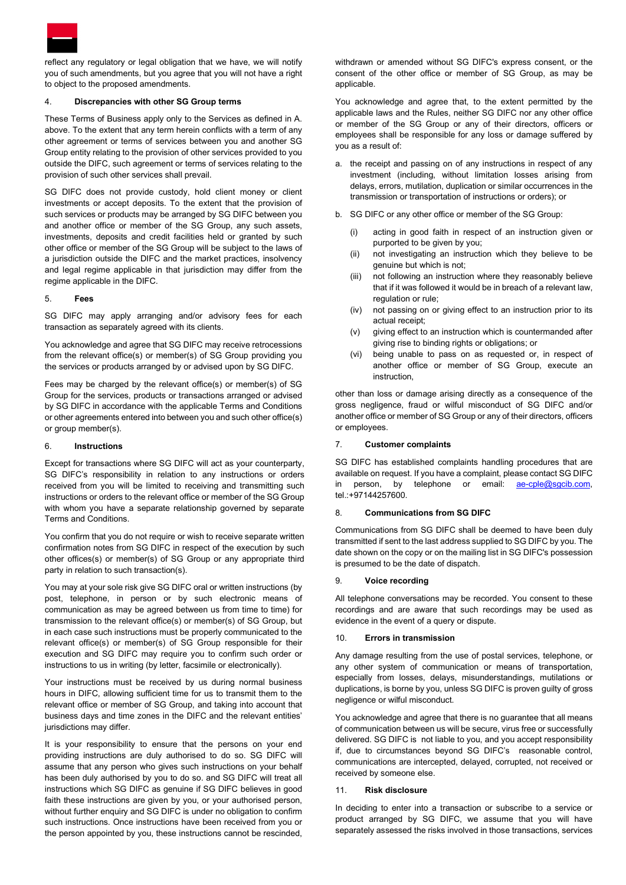

reflect any regulatory or legal obligation that we have, we will notify you of such amendments, but you agree that you will not have a right to object to the proposed amendments.

# 4. Discrepancies with other SG Group terms

These Terms of Business apply only to the Services as defined in A. above. To the extent that any term herein conflicts with a term of any other agreement or terms of services between you and another SG Group entity relating to the provision of other services provided to you outside the DIFC, such agreement or terms of services relating to the provision of such other services shall prevail.

SG DIFC does not provide custody, hold client money or client investments or accept deposits. To the extent that the provision of such services or products may be arranged by SG DIFC between you and another office or member of the SG Group, any such assets, investments, deposits and credit facilities held or granted by such other office or member of the SG Group will be subject to the laws of a jurisdiction outside the DIFC and the market practices, insolvency and legal regime applicable in that jurisdiction may differ from the regime applicable in the DIFC.

### 5. Fees

SG DIFC may apply arranging and/or advisory fees for each transaction as separately agreed with its clients.

You acknowledge and agree that SG DIFC may receive retrocessions from the relevant office(s) or member(s) of SG Group providing you the services or products arranged by or advised upon by SG DIFC.

Fees may be charged by the relevant office(s) or member(s) of SG Group for the services, products or transactions arranged or advised by SG DIFC in accordance with the applicable Terms and Conditions or other agreements entered into between you and such other office(s) or group member(s).

## 6. Instructions

Except for transactions where SG DIFC will act as your counterparty, SG DIFC's responsibility in relation to any instructions or orders received from you will be limited to receiving and transmitting such instructions or orders to the relevant office or member of the SG Group with whom you have a separate relationship governed by separate Terms and Conditions.

You confirm that you do not require or wish to receive separate written confirmation notes from SG DIFC in respect of the execution by such other offices(s) or member(s) of SG Group or any appropriate third party in relation to such transaction(s).

You may at your sole risk give SG DIFC oral or written instructions (by post, telephone, in person or by such electronic means of communication as may be agreed between us from time to time) for transmission to the relevant office(s) or member(s) of SG Group, but in each case such instructions must be properly communicated to the relevant office(s) or member(s) of SG Group responsible for their execution and SG DIFC may require you to confirm such order or instructions to us in writing (by letter, facsimile or electronically).

Your instructions must be received by us during normal business hours in DIFC, allowing sufficient time for us to transmit them to the relevant office or member of SG Group, and taking into account that business days and time zones in the DIFC and the relevant entities' jurisdictions may differ.

It is your responsibility to ensure that the persons on your end providing instructions are duly authorised to do so. SG DIFC will assume that any person who gives such instructions on your behalf has been duly authorised by you to do so. and SG DIFC will treat all instructions which SG DIFC as genuine if SG DIFC believes in good faith these instructions are given by you, or your authorised person, without further enquiry and SG DIFC is under no obligation to confirm such instructions. Once instructions have been received from you or the person appointed by you, these instructions cannot be rescinded,

withdrawn or amended without SG DIFC's express consent, or the consent of the other office or member of SG Group, as may be applicable.

You acknowledge and agree that, to the extent permitted by the applicable laws and the Rules, neither SG DIFC nor any other office or member of the SG Group or any of their directors, officers or employees shall be responsible for any loss or damage suffered by you as a result of:

- a. the receipt and passing on of any instructions in respect of any investment (including, without limitation losses arising from delays, errors, mutilation, duplication or similar occurrences in the transmission or transportation of instructions or orders); or
- b. SG DIFC or any other office or member of the SG Group:
	- (i) acting in good faith in respect of an instruction given or purported to be given by you;
	- (ii) not investigating an instruction which they believe to be genuine but which is not;
	- (iii) not following an instruction where they reasonably believe that if it was followed it would be in breach of a relevant law, regulation or rule;
	- (iv) not passing on or giving effect to an instruction prior to its actual receipt;
	- (v) giving effect to an instruction which is countermanded after giving rise to binding rights or obligations; or
	- (vi) being unable to pass on as requested or, in respect of another office or member of SG Group, execute an **instruction**

other than loss or damage arising directly as a consequence of the gross negligence, fraud or wilful misconduct of SG DIFC and/or another office or member of SG Group or any of their directors, officers or employees.

## 7. Customer complaints

SG DIFC has established complaints handling procedures that are available on request. If you have a complaint, please contact SG DIFC in person, by telephone or email: ae-cple@sgcib.com, tel.:+97144257600.

## 8. Communications from SG DIFC

Communications from SG DIFC shall be deemed to have been duly transmitted if sent to the last address supplied to SG DIFC by you. The date shown on the copy or on the mailing list in SG DIFC's possession is presumed to be the date of dispatch.

## 9. Voice recording

All telephone conversations may be recorded. You consent to these recordings and are aware that such recordings may be used as evidence in the event of a query or dispute.

## 10. Errors in transmission

Any damage resulting from the use of postal services, telephone, or any other system of communication or means of transportation, especially from losses, delays, misunderstandings, mutilations or duplications, is borne by you, unless SG DIFC is proven guilty of gross negligence or wilful misconduct.

You acknowledge and agree that there is no guarantee that all means of communication between us will be secure, virus free or successfully delivered. SG DIFC is not liable to you, and you accept responsibility if, due to circumstances beyond SG DIFC's reasonable control, communications are intercepted, delayed, corrupted, not received or received by someone else.

## 11. Risk disclosure

In deciding to enter into a transaction or subscribe to a service or product arranged by SG DIFC, we assume that you will have separately assessed the risks involved in those transactions, services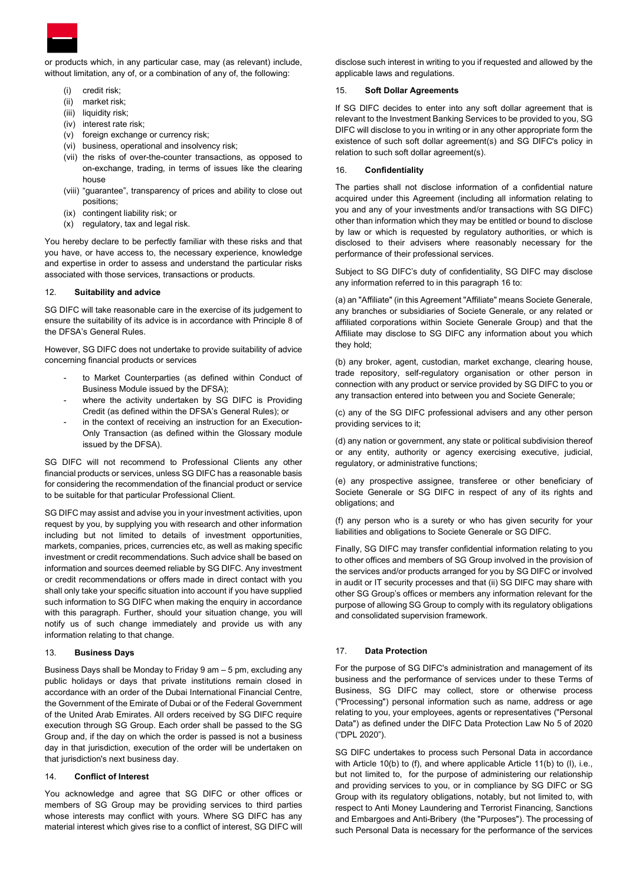

or products which, in any particular case, may (as relevant) include, without limitation, any of, or a combination of any of, the following:

- credit risk;
- (ii) market risk;
- (iii) liquidity risk:
- (iv) interest rate risk;
- (v) foreign exchange or currency risk;
- (vi) business, operational and insolvency risk;
- (vii) the risks of over-the-counter transactions, as opposed to on-exchange, trading, in terms of issues like the clearing house
- (viii) "guarantee", transparency of prices and ability to close out positions;
- (ix) contingent liability risk; or
- (x) regulatory, tax and legal risk.

You hereby declare to be perfectly familiar with these risks and that you have, or have access to, the necessary experience, knowledge and expertise in order to assess and understand the particular risks associated with those services, transactions or products.

## 12. Suitability and advice

SG DIFC will take reasonable care in the exercise of its judgement to ensure the suitability of its advice is in accordance with Principle 8 of the DFSA's General Rules.

However, SG DIFC does not undertake to provide suitability of advice concerning financial products or services

- to Market Counterparties (as defined within Conduct of Business Module issued by the DFSA);
- where the activity undertaken by SG DIFC is Providing Credit (as defined within the DFSA's General Rules); or
- in the context of receiving an instruction for an Execution-Only Transaction (as defined within the Glossary module issued by the DFSA).

SG DIFC will not recommend to Professional Clients any other financial products or services, unless SG DIFC has a reasonable basis for considering the recommendation of the financial product or service to be suitable for that particular Professional Client.

SG DIFC may assist and advise you in your investment activities, upon request by you, by supplying you with research and other information including but not limited to details of investment opportunities, markets, companies, prices, currencies etc, as well as making specific investment or credit recommendations. Such advice shall be based on information and sources deemed reliable by SG DIFC. Any investment or credit recommendations or offers made in direct contact with you shall only take your specific situation into account if you have supplied such information to SG DIFC when making the enquiry in accordance with this paragraph. Further, should your situation change, you will notify us of such change immediately and provide us with any information relating to that change.

## 13. Business Days

Business Days shall be Monday to Friday 9 am – 5 pm, excluding any public holidays or days that private institutions remain closed in accordance with an order of the Dubai International Financial Centre, the Government of the Emirate of Dubai or of the Federal Government of the United Arab Emirates. All orders received by SG DIFC require execution through SG Group. Each order shall be passed to the SG Group and, if the day on which the order is passed is not a business day in that jurisdiction, execution of the order will be undertaken on that jurisdiction's next business day.

## 14. Conflict of Interest

You acknowledge and agree that SG DIFC or other offices or members of SG Group may be providing services to third parties whose interests may conflict with yours. Where SG DIFC has any material interest which gives rise to a conflict of interest, SG DIFC will

disclose such interest in writing to you if requested and allowed by the applicable laws and regulations.

## 15. Soft Dollar Agreements

If SG DIFC decides to enter into any soft dollar agreement that is relevant to the Investment Banking Services to be provided to you, SG DIFC will disclose to you in writing or in any other appropriate form the existence of such soft dollar agreement(s) and SG DIFC's policy in relation to such soft dollar agreement(s).

## 16. Confidentiality

The parties shall not disclose information of a confidential nature acquired under this Agreement (including all information relating to you and any of your investments and/or transactions with SG DIFC) other than information which they may be entitled or bound to disclose by law or which is requested by regulatory authorities, or which is disclosed to their advisers where reasonably necessary for the performance of their professional services.

Subject to SG DIFC's duty of confidentiality, SG DIFC may disclose any information referred to in this paragraph 16 to:

(a) an "Affiliate" (in this Agreement "Affiliate" means Societe Generale, any branches or subsidiaries of Societe Generale, or any related or affiliated corporations within Societe Generale Group) and that the Affiliate may disclose to SG DIFC any information about you which they hold;

(b) any broker, agent, custodian, market exchange, clearing house, trade repository, self-regulatory organisation or other person in connection with any product or service provided by SG DIFC to you or any transaction entered into between you and Societe Generale;

(c) any of the SG DIFC professional advisers and any other person providing services to it;

(d) any nation or government, any state or political subdivision thereof or any entity, authority or agency exercising executive, judicial, regulatory, or administrative functions;

(e) any prospective assignee, transferee or other beneficiary of Societe Generale or SG DIFC in respect of any of its rights and obligations; and

(f) any person who is a surety or who has given security for your liabilities and obligations to Societe Generale or SG DIFC.

Finally, SG DIFC may transfer confidential information relating to you to other offices and members of SG Group involved in the provision of the services and/or products arranged for you by SG DIFC or involved in audit or IT security processes and that (ii) SG DIFC may share with other SG Group's offices or members any information relevant for the purpose of allowing SG Group to comply with its regulatory obligations and consolidated supervision framework.

## 17. Data Protection

For the purpose of SG DIFC's administration and management of its business and the performance of services under to these Terms of Business, SG DIFC may collect, store or otherwise process ("Processing") personal information such as name, address or age relating to you, your employees, agents or representatives ("Personal Data") as defined under the DIFC Data Protection Law No 5 of 2020 ("DPL 2020").

SG DIFC undertakes to process such Personal Data in accordance with Article 10(b) to (f), and where applicable Article 11(b) to (l), i.e., but not limited to, for the purpose of administering our relationship and providing services to you, or in compliance by SG DIFC or SG Group with its regulatory obligations, notably, but not limited to, with respect to Anti Money Laundering and Terrorist Financing, Sanctions and Embargoes and Anti-Bribery (the "Purposes"). The processing of such Personal Data is necessary for the performance of the services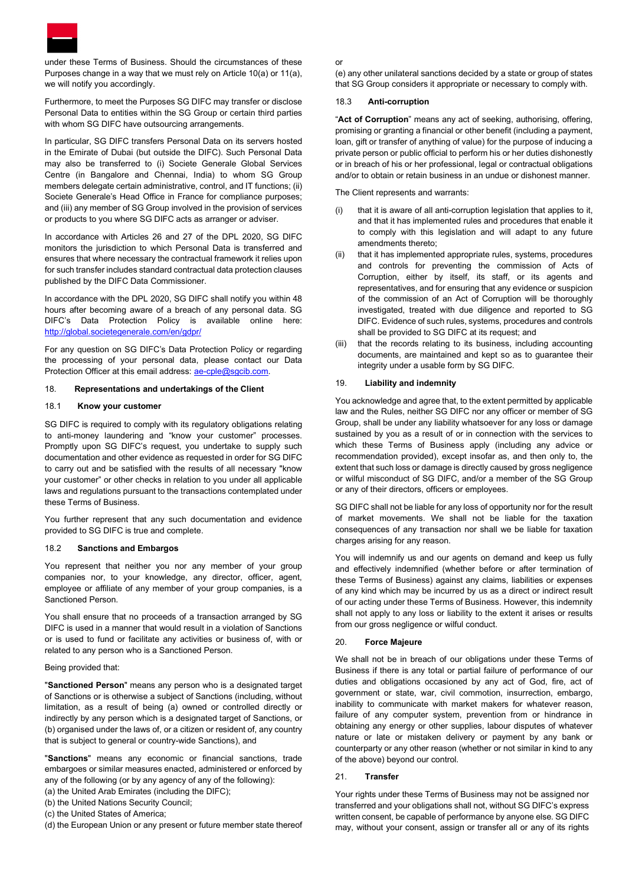

under these Terms of Business. Should the circumstances of these Purposes change in a way that we must rely on Article 10(a) or 11(a), we will notify you accordingly.

Furthermore, to meet the Purposes SG DIFC may transfer or disclose Personal Data to entities within the SG Group or certain third parties with whom SG DIFC have outsourcing arrangements.

In particular, SG DIFC transfers Personal Data on its servers hosted in the Emirate of Dubai (but outside the DIFC). Such Personal Data may also be transferred to (i) Societe Generale Global Services Centre (in Bangalore and Chennai, India) to whom SG Group members delegate certain administrative, control, and IT functions; (ii) Societe Generale's Head Office in France for compliance purposes; and (iii) any member of SG Group involved in the provision of services or products to you where SG DIFC acts as arranger or adviser.

In accordance with Articles 26 and 27 of the DPL 2020, SG DIFC monitors the jurisdiction to which Personal Data is transferred and ensures that where necessary the contractual framework it relies upon for such transfer includes standard contractual data protection clauses published by the DIFC Data Commissioner.

In accordance with the DPL 2020, SG DIFC shall notify you within 48 hours after becoming aware of a breach of any personal data. SG DIFC's Data Protection Policy is available online here: http://global.societegenerale.com/en/gdpr/

For any question on SG DIFC's Data Protection Policy or regarding the processing of your personal data, please contact our Data Protection Officer at this email address: ae-cple@sgcib.com.

### 18. Representations and undertakings of the Client

## 18.1 Know your customer

SG DIFC is required to comply with its regulatory obligations relating to anti-money laundering and "know your customer" processes. Promptly upon SG DIFC's request, you undertake to supply such documentation and other evidence as requested in order for SG DIFC to carry out and be satisfied with the results of all necessary "know your customer" or other checks in relation to you under all applicable laws and regulations pursuant to the transactions contemplated under these Terms of Business.

You further represent that any such documentation and evidence provided to SG DIFC is true and complete.

#### 18.2 Sanctions and Embargos

You represent that neither you nor any member of your group companies nor, to your knowledge, any director, officer, agent, employee or affiliate of any member of your group companies, is a Sanctioned Person.

You shall ensure that no proceeds of a transaction arranged by SG DIFC is used in a manner that would result in a violation of Sanctions or is used to fund or facilitate any activities or business of, with or related to any person who is a Sanctioned Person.

#### Being provided that:

"Sanctioned Person" means any person who is a designated target of Sanctions or is otherwise a subject of Sanctions (including, without limitation, as a result of being (a) owned or controlled directly or indirectly by any person which is a designated target of Sanctions, or (b) organised under the laws of, or a citizen or resident of, any country that is subject to general or country-wide Sanctions), and

"Sanctions" means any economic or financial sanctions, trade embargoes or similar measures enacted, administered or enforced by any of the following (or by any agency of any of the following):

(a) the United Arab Emirates (including the DIFC);

(b) the United Nations Security Council;

(c) the United States of America;

(d) the European Union or any present or future member state thereof

#### or

(e) any other unilateral sanctions decided by a state or group of states that SG Group considers it appropriate or necessary to comply with.

### 18.3 Anti-corruption

"Act of Corruption" means any act of seeking, authorising, offering, promising or granting a financial or other benefit (including a payment, loan, gift or transfer of anything of value) for the purpose of inducing a private person or public official to perform his or her duties dishonestly or in breach of his or her professional, legal or contractual obligations and/or to obtain or retain business in an undue or dishonest manner.

The Client represents and warrants:

- (i) that it is aware of all anti-corruption legislation that applies to it, and that it has implemented rules and procedures that enable it to comply with this legislation and will adapt to any future amendments thereto;
- (ii) that it has implemented appropriate rules, systems, procedures and controls for preventing the commission of Acts of Corruption, either by itself, its staff, or its agents and representatives, and for ensuring that any evidence or suspicion of the commission of an Act of Corruption will be thoroughly investigated, treated with due diligence and reported to SG DIFC. Evidence of such rules, systems, procedures and controls shall be provided to SG DIFC at its request; and
- (iii) that the records relating to its business, including accounting documents, are maintained and kept so as to guarantee their integrity under a usable form by SG DIFC.

#### 19. Liability and indemnity

You acknowledge and agree that, to the extent permitted by applicable law and the Rules, neither SG DIFC nor any officer or member of SG Group, shall be under any liability whatsoever for any loss or damage sustained by you as a result of or in connection with the services to which these Terms of Business apply (including any advice or recommendation provided), except insofar as, and then only to, the extent that such loss or damage is directly caused by gross negligence or wilful misconduct of SG DIFC, and/or a member of the SG Group or any of their directors, officers or employees.

SG DIFC shall not be liable for any loss of opportunity nor for the result of market movements. We shall not be liable for the taxation consequences of any transaction nor shall we be liable for taxation charges arising for any reason.

You will indemnify us and our agents on demand and keep us fully and effectively indemnified (whether before or after termination of these Terms of Business) against any claims, liabilities or expenses of any kind which may be incurred by us as a direct or indirect result of our acting under these Terms of Business. However, this indemnity shall not apply to any loss or liability to the extent it arises or results from our gross negligence or wilful conduct.

### 20. Force Majeure

We shall not be in breach of our obligations under these Terms of Business if there is any total or partial failure of performance of our duties and obligations occasioned by any act of God, fire, act of government or state, war, civil commotion, insurrection, embargo, inability to communicate with market makers for whatever reason, failure of any computer system, prevention from or hindrance in obtaining any energy or other supplies, labour disputes of whatever nature or late or mistaken delivery or payment by any bank or counterparty or any other reason (whether or not similar in kind to any of the above) beyond our control.

### 21. Transfer

Your rights under these Terms of Business may not be assigned nor transferred and your obligations shall not, without SG DIFC's express written consent, be capable of performance by anyone else. SG DIFC may, without your consent, assign or transfer all or any of its rights